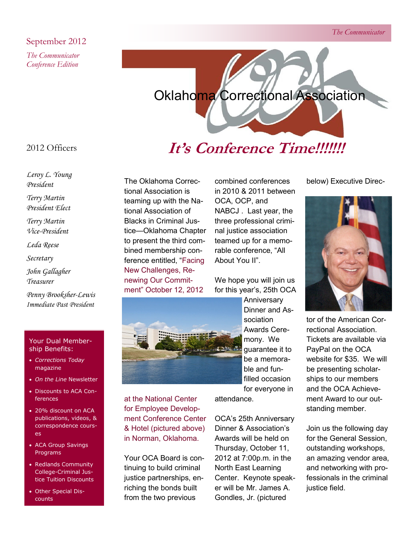### September 2012

*The Communicator Conference Edition*



### 2012 Officers

*Leroy L. Young President*

*Terry Martin* 

*President Elect*

*Terry Martin Vice-President*

*Leda Reese*

*Secretary*

*John Gallagher Treasurer*

*Penny Brooksher-Lewis Immediate Past President*

#### Your Dual Membership Benefits:

- *Corrections Today*  magazine
- *On the Line* Newsletter
- Discounts to ACA Conferences
- 20% discount on ACA publications, videos, & correspondence courses
- ACA Group Savings Programs
- Redlands Community College-Criminal Justice Tuition Discounts
- Other Special Discounts

### The Oklahoma Correctional Association is teaming up with the National Association of Blacks in Criminal Justice—Oklahoma Chapter to present the third combined membership conference entitled, "Facing New Challenges, Renewing Our Commitment" October 12, 2012



at the National Center for Employee Development Conference Center & Hotel (pictured above) in Norman, Oklahoma.

Your OCA Board is continuing to build criminal justice partnerships, enriching the bonds built from the two previous

combined conferences in 2010 & 2011 between OCA, OCP, and NABCJ . Last year, the three professional criminal justice association teamed up for a memorable conference, "All About You II".

We hope you will join us for this year's, 25th OCA

> **Anniversary** Dinner and Association Awards Ceremony. We guarantee it to be a memorable and funfilled occasion for everyone in

attendance.

OCA's 25th Anniversary Dinner & Association's Awards will be held on Thursday, October 11, 2012 at 7:00p.m. in the North East Learning Center. Keynote speaker will be Mr. James A. Gondles, Jr. (pictured

below) Executive Direc-



tor of the American Correctional Association. Tickets are available via PayPal on the OCA website for \$35. We will be presenting scholarships to our members and the OCA Achievement Award to our outstanding member.

Join us the following day for the General Session, outstanding workshops, an amazing vendor area, and networking with professionals in the criminal justice field.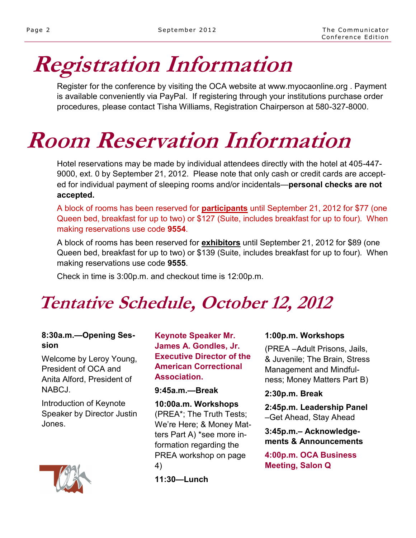# **Registration Information**

Register for the conference by visiting the OCA website at www.myocaonline.org . Payment is available conveniently via PayPal. If registering through your institutions purchase order procedures, please contact Tisha Williams, Registration Chairperson at 580-327-8000.

## **Room Reservation Information**

Hotel reservations may be made by individual attendees directly with the hotel at 405-447- 9000, ext. 0 by September 21, 2012. Please note that only cash or credit cards are accepted for individual payment of sleeping rooms and/or incidentals—**personal checks are not accepted.** 

A block of rooms has been reserved for **participants** until September 21, 2012 for \$77 (one Queen bed, breakfast for up to two) or \$127 (Suite, includes breakfast for up to four). When making reservations use code **9554**.

A block of rooms has been reserved for **exhibitors** until September 21, 2012 for \$89 (one Queen bed, breakfast for up to two) or \$139 (Suite, includes breakfast for up to four). When making reservations use code **9555**.

Check in time is 3:00p.m. and checkout time is 12:00p.m.

## **Tentative Schedule, October 12, 2012**

### **8:30a.m.—Opening Session**

Welcome by Leroy Young, President of OCA and Anita Alford, President of NABCJ.

Introduction of Keynote Speaker by Director Justin Jones.



**Keynote Speaker Mr. James A. Gondles, Jr. Executive Director of the American Correctional Association.**

### **9:45a.m.—Break**

**10:00a.m. Workshops**  (PREA\*; The Truth Tests; We're Here; & Money Matters Part A) \*see more information regarding the PREA workshop on page 4)

**11:30—Lunch**

### **1:00p.m. Workshops**

(PREA –Adult Prisons, Jails, & Juvenile; The Brain, Stress Management and Mindfulness; Money Matters Part B)

**2:30p.m. Break**

**2:45p.m. Leadership Panel**  –Get Ahead, Stay Ahead

**3:45p.m.– Acknowledgements & Announcements**

**4:00p.m. OCA Business Meeting, Salon Q**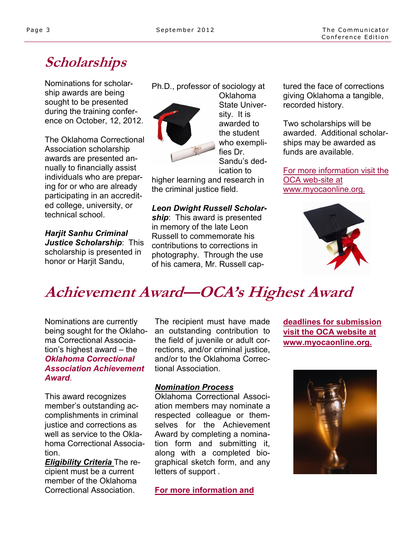### **Scholarships**

Nominations for scholarship awards are being sought to be presented during the training conference on October, 12, 2012.

The Oklahoma Correctional Association scholarship awards are presented annually to financially assist individuals who are preparing for or who are already participating in an accredited college, university, or technical school.

*Harjit Sanhu Criminal Justice Scholarship*: This scholarship is presented in honor or Harjit Sandu,

Ph.D., professor of sociology at



Oklahoma State University. It is awarded to the student who exemplifies Dr. Sandu's dedication to

higher learning and research in the criminal justice field.

*Leon Dwight Russell Scholarship*: This award is presented in memory of the late Leon Russell to commemorate his contributions to corrections in photography. Through the use of his camera, Mr. Russell captured the face of corrections giving Oklahoma a tangible, recorded history.

Two scholarships will be awarded. Additional scholarships may be awarded as funds are available.

For more information visit the OCA web-site at www.myocaonline.org.



### **Achievement Award—OCA's Highest Award**

Nominations are currently being sought for the Oklahoma Correctional Association's highest award – the *Oklahoma Correctional Association Achievement Award*.

This award recognizes member's outstanding accomplishments in criminal justice and corrections as well as service to the Oklahoma Correctional Association.

*Eligibility Criteria* The recipient must be a current member of the Oklahoma Correctional Association.

The recipient must have made an outstanding contribution to the field of juvenile or adult corrections, and/or criminal justice, and/or to the Oklahoma Correctional Association.

### *Nomination Process*

Oklahoma Correctional Association members may nominate a respected colleague or themselves for the Achievement Award by completing a nomination form and submitting it, along with a completed biographical sketch form, and any letters of support .

**For more information and** 

**deadlines for submission visit the OCA website at www.myocaonline.org.**